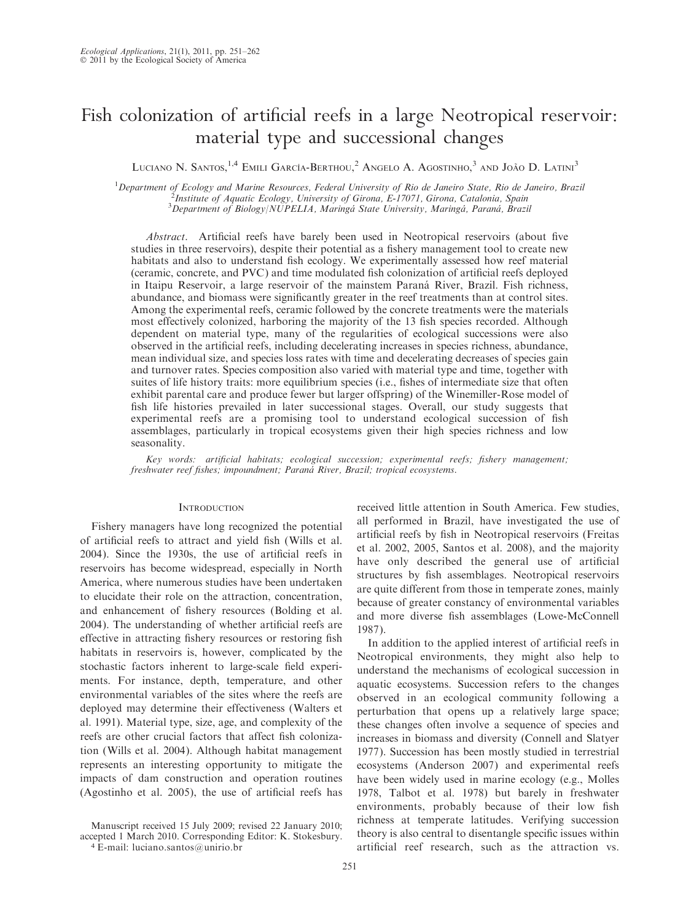# Fish colonization of artificial reefs in a large Neotropical reservoir: material type and successional changes

LUCIANO N. SANTOS,<sup>1,4</sup> EMILI GARCÍA-BERTHOU,<sup>2</sup> ANGELO A. AGOSTINHO,<sup>3</sup> AND JOÃO D. LATINI<sup>3</sup>

<sup>1</sup>Department of Ecology and Marine Resources, Federal University of Rio de Janeiro State, Rio de Janeiro, Brazil<br><sup>2</sup>Institute of Aquatic Ecology University of Girona, E-17071, Girona, Catalonia, Spain <sup>2</sup>Institute of Aquatic Ecology, University of Girona, E-17071, Girona, Catalonia, Spain  ${}^{3}$ Department of Biology/NUPELIA, Maringa´ State University, Maringa´, Parana´, Brazil

Abstract. Artificial reefs have barely been used in Neotropical reservoirs (about five studies in three reservoirs), despite their potential as a fishery management tool to create new habitats and also to understand fish ecology. We experimentally assessed how reef material (ceramic, concrete, and PVC) and time modulated fish colonization of artificial reefs deployed in Itaipu Reservoir, a large reservoir of the mainstem Parana´ River, Brazil. Fish richness, abundance, and biomass were significantly greater in the reef treatments than at control sites. Among the experimental reefs, ceramic followed by the concrete treatments were the materials most effectively colonized, harboring the majority of the 13 fish species recorded. Although dependent on material type, many of the regularities of ecological successions were also observed in the artificial reefs, including decelerating increases in species richness, abundance, mean individual size, and species loss rates with time and decelerating decreases of species gain and turnover rates. Species composition also varied with material type and time, together with suites of life history traits: more equilibrium species (i.e., fishes of intermediate size that often exhibit parental care and produce fewer but larger offspring) of the Winemiller-Rose model of fish life histories prevailed in later successional stages. Overall, our study suggests that experimental reefs are a promising tool to understand ecological succession of fish assemblages, particularly in tropical ecosystems given their high species richness and low seasonality.

Key words: artificial habitats; ecological succession; experimental reefs; fishery management; freshwater reef fishes; impoundment; Paraná River, Brazil; tropical ecosystems.

## **INTRODUCTION**

Fishery managers have long recognized the potential of artificial reefs to attract and yield fish (Wills et al. 2004). Since the 1930s, the use of artificial reefs in reservoirs has become widespread, especially in North America, where numerous studies have been undertaken to elucidate their role on the attraction, concentration, and enhancement of fishery resources (Bolding et al. 2004). The understanding of whether artificial reefs are effective in attracting fishery resources or restoring fish habitats in reservoirs is, however, complicated by the stochastic factors inherent to large-scale field experiments. For instance, depth, temperature, and other environmental variables of the sites where the reefs are deployed may determine their effectiveness (Walters et al. 1991). Material type, size, age, and complexity of the reefs are other crucial factors that affect fish colonization (Wills et al. 2004). Although habitat management represents an interesting opportunity to mitigate the impacts of dam construction and operation routines (Agostinho et al. 2005), the use of artificial reefs has

Manuscript received 15 July 2009; revised 22 January 2010; accepted 1 March 2010. Corresponding Editor: K. Stokesbury.

<sup>4</sup> E-mail: luciano.santos@unirio.br

received little attention in South America. Few studies, all performed in Brazil, have investigated the use of artificial reefs by fish in Neotropical reservoirs (Freitas et al. 2002, 2005, Santos et al. 2008), and the majority have only described the general use of artificial structures by fish assemblages. Neotropical reservoirs are quite different from those in temperate zones, mainly because of greater constancy of environmental variables and more diverse fish assemblages (Lowe-McConnell 1987).

In addition to the applied interest of artificial reefs in Neotropical environments, they might also help to understand the mechanisms of ecological succession in aquatic ecosystems. Succession refers to the changes observed in an ecological community following a perturbation that opens up a relatively large space; these changes often involve a sequence of species and increases in biomass and diversity (Connell and Slatyer 1977). Succession has been mostly studied in terrestrial ecosystems (Anderson 2007) and experimental reefs have been widely used in marine ecology (e.g., Molles 1978, Talbot et al. 1978) but barely in freshwater environments, probably because of their low fish richness at temperate latitudes. Verifying succession theory is also central to disentangle specific issues within artificial reef research, such as the attraction vs.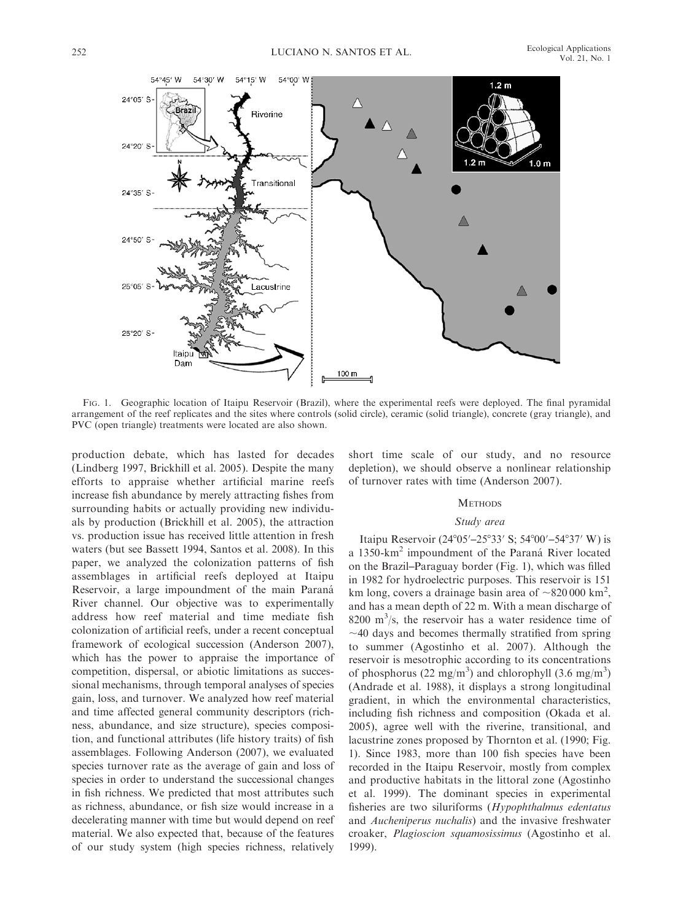

FIG. 1. Geographic location of Itaipu Reservoir (Brazil), where the experimental reefs were deployed. The final pyramidal arrangement of the reef replicates and the sites where controls (solid circle), ceramic (solid triangle), concrete (gray triangle), and PVC (open triangle) treatments were located are also shown.

production debate, which has lasted for decades (Lindberg 1997, Brickhill et al. 2005). Despite the many efforts to appraise whether artificial marine reefs increase fish abundance by merely attracting fishes from surrounding habits or actually providing new individuals by production (Brickhill et al. 2005), the attraction vs. production issue has received little attention in fresh waters (but see Bassett 1994, Santos et al. 2008). In this paper, we analyzed the colonization patterns of fish assemblages in artificial reefs deployed at Itaipu Reservoir, a large impoundment of the main Paraná River channel. Our objective was to experimentally address how reef material and time mediate fish colonization of artificial reefs, under a recent conceptual framework of ecological succession (Anderson 2007), which has the power to appraise the importance of competition, dispersal, or abiotic limitations as successional mechanisms, through temporal analyses of species gain, loss, and turnover. We analyzed how reef material and time affected general community descriptors (richness, abundance, and size structure), species composition, and functional attributes (life history traits) of fish assemblages. Following Anderson (2007), we evaluated species turnover rate as the average of gain and loss of species in order to understand the successional changes in fish richness. We predicted that most attributes such as richness, abundance, or fish size would increase in a decelerating manner with time but would depend on reef material. We also expected that, because of the features of our study system (high species richness, relatively

short time scale of our study, and no resource depletion), we should observe a nonlinear relationship of turnover rates with time (Anderson 2007).

## **METHODS**

### Study area

Itaipu Reservoir (24°05′–25°33′ S; 54°00′–54°37′ W) is a 1350-km<sup>2</sup> impoundment of the Paraná River located on the Brazil–Paraguay border (Fig. 1), which was filled in 1982 for hydroelectric purposes. This reservoir is 151 km long, covers a drainage basin area of  $\sim$ 820 000 km<sup>2</sup>, and has a mean depth of 22 m. With a mean discharge of  $8200 \text{ m}^3\text{/s}$ , the reservoir has a water residence time of  $\sim$ 40 days and becomes thermally stratified from spring to summer (Agostinho et al. 2007). Although the reservoir is mesotrophic according to its concentrations of phosphorus (22 mg/m<sup>3</sup>) and chlorophyll (3.6 mg/m<sup>3</sup>) (Andrade et al. 1988), it displays a strong longitudinal gradient, in which the environmental characteristics, including fish richness and composition (Okada et al. 2005), agree well with the riverine, transitional, and lacustrine zones proposed by Thornton et al. (1990; Fig. 1). Since 1983, more than 100 fish species have been recorded in the Itaipu Reservoir, mostly from complex and productive habitats in the littoral zone (Agostinho et al. 1999). The dominant species in experimental fisheries are two siluriforms (Hypophthalmus edentatus and Aucheniperus nuchalis) and the invasive freshwater croaker, Plagioscion squamosissimus (Agostinho et al. 1999).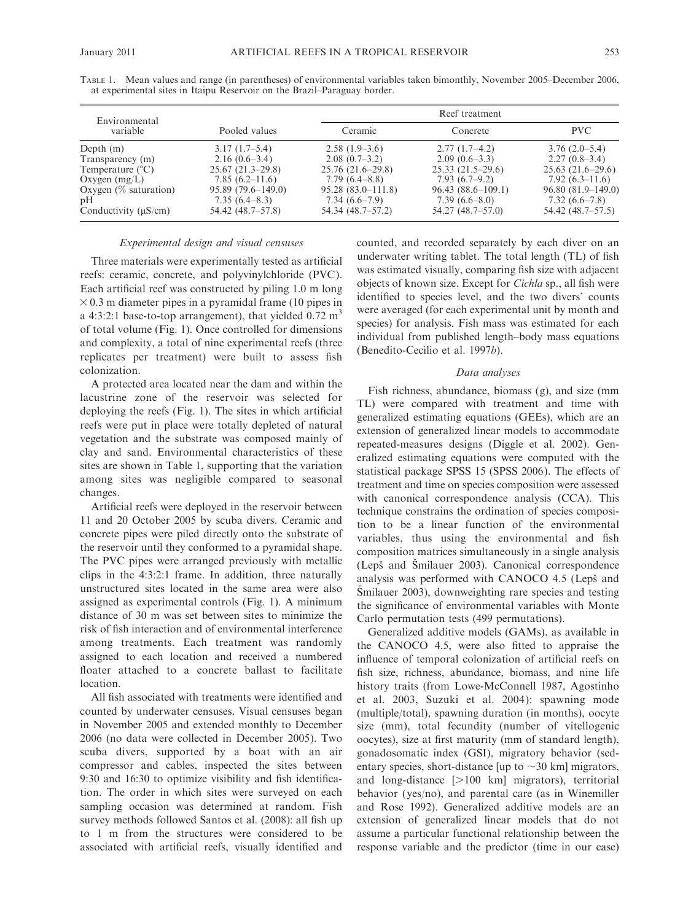| Environmental             |                      | Reef treatment      |                     |                      |  |  |
|---------------------------|----------------------|---------------------|---------------------|----------------------|--|--|
| variable                  | Pooled values        | Ceramic             | Concrete            | <b>PVC</b>           |  |  |
| Depth $(m)$               | $3.17(1.7-5.4)$      | $2.58(1.9-3.6)$     | $2.77(1.7-4.2)$     | $3.76(2.0-5.4)$      |  |  |
| Transparency (m)          | $2.16(0.6-3.4)$      | $2.08(0.7-3.2)$     | $2.09(0.6-3.3)$     | $2.27(0.8-3.4)$      |  |  |
| Temperature $(^{\circ}C)$ | $25.67(21.3-29.8)$   | $25.76(21.6-29.8)$  | $25.33(21.5-29.6)$  | $25.63(21.6-29.6)$   |  |  |
| Oxygen $(mg/L)$           | $7.85(6.2 - 11.6)$   | $7.79(6.4 - 8.8)$   | $7.93(6.7-9.2)$     | $7.92(6.3-11.6)$     |  |  |
| Oxygen $(\%$ saturation)  | $95.89(79.6-149.0)$  | $95.28(83.0-111.8)$ | $96.43(88.6-109.1)$ | $96.80(81.9-149.0)$  |  |  |
| pH                        | $7.35(6.4 - 8.3)$    | $7.34(6.6-7.9)$     | $7.39(6.6-8.0)$     | $7.32(6.6-7.8)$      |  |  |
| Conductivity $(\mu S/cm)$ | $54.42(48.7 - 57.8)$ | 54.34 (48.7–57.2)   | 54.27(48.7–57.0)    | $54.42(48.7 - 57.5)$ |  |  |

TABLE 1. Mean values and range (in parentheses) of environmental variables taken bimonthly, November 2005–December 2006, at experimental sites in Itaipu Reservoir on the Brazil–Paraguay border.

#### Experimental design and visual censuses

Three materials were experimentally tested as artificial reefs: ceramic, concrete, and polyvinylchloride (PVC). Each artificial reef was constructed by piling 1.0 m long  $\times$  0.3 m diameter pipes in a pyramidal frame (10 pipes in a 4:3:2:1 base-to-top arrangement), that yielded  $0.72 \text{ m}^3$ of total volume (Fig. 1). Once controlled for dimensions and complexity, a total of nine experimental reefs (three replicates per treatment) were built to assess fish colonization.

A protected area located near the dam and within the lacustrine zone of the reservoir was selected for deploying the reefs (Fig. 1). The sites in which artificial reefs were put in place were totally depleted of natural vegetation and the substrate was composed mainly of clay and sand. Environmental characteristics of these sites are shown in Table 1, supporting that the variation among sites was negligible compared to seasonal changes.

Artificial reefs were deployed in the reservoir between 11 and 20 October 2005 by scuba divers. Ceramic and concrete pipes were piled directly onto the substrate of the reservoir until they conformed to a pyramidal shape. The PVC pipes were arranged previously with metallic clips in the 4:3:2:1 frame. In addition, three naturally unstructured sites located in the same area were also assigned as experimental controls (Fig. 1). A minimum distance of 30 m was set between sites to minimize the risk of fish interaction and of environmental interference among treatments. Each treatment was randomly assigned to each location and received a numbered floater attached to a concrete ballast to facilitate location.

All fish associated with treatments were identified and counted by underwater censuses. Visual censuses began in November 2005 and extended monthly to December 2006 (no data were collected in December 2005). Two scuba divers, supported by a boat with an air compressor and cables, inspected the sites between 9:30 and 16:30 to optimize visibility and fish identification. The order in which sites were surveyed on each sampling occasion was determined at random. Fish survey methods followed Santos et al. (2008): all fish up to 1 m from the structures were considered to be associated with artificial reefs, visually identified and counted, and recorded separately by each diver on an underwater writing tablet. The total length (TL) of fish was estimated visually, comparing fish size with adjacent objects of known size. Except for Cichla sp., all fish were identified to species level, and the two divers' counts were averaged (for each experimental unit by month and species) for analysis. Fish mass was estimated for each individual from published length–body mass equations (Benedito-Cecílio et al. 1997 $b$ ).

## Data analyses

Fish richness, abundance, biomass (g), and size (mm TL) were compared with treatment and time with generalized estimating equations (GEEs), which are an extension of generalized linear models to accommodate repeated-measures designs (Diggle et al. 2002). Generalized estimating equations were computed with the statistical package SPSS 15 (SPSS 2006). The effects of treatment and time on species composition were assessed with canonical correspondence analysis (CCA). This technique constrains the ordination of species composition to be a linear function of the environmental variables, thus using the environmental and fish composition matrices simultaneously in a single analysis (Lepš and Smilauer 2003). Canonical correspondence analysis was performed with CANOCO 4.5 (Lepš and Smilauer 2003), downweighting rare species and testing the significance of environmental variables with Monte Carlo permutation tests (499 permutations).

Generalized additive models (GAMs), as available in the CANOCO 4.5, were also fitted to appraise the influence of temporal colonization of artificial reefs on fish size, richness, abundance, biomass, and nine life history traits (from Lowe-McConnell 1987, Agostinho et al. 2003, Suzuki et al. 2004): spawning mode (multiple/total), spawning duration (in months), oocyte size (mm), total fecundity (number of vitellogenic oocytes), size at first maturity (mm of standard length), gonadosomatic index (GSI), migratory behavior (sedentary species, short-distance [up to  $\sim$  30 km] migrators, and long-distance  $[>100$  km] migrators), territorial behavior (yes/no), and parental care (as in Winemiller and Rose 1992). Generalized additive models are an extension of generalized linear models that do not assume a particular functional relationship between the response variable and the predictor (time in our case)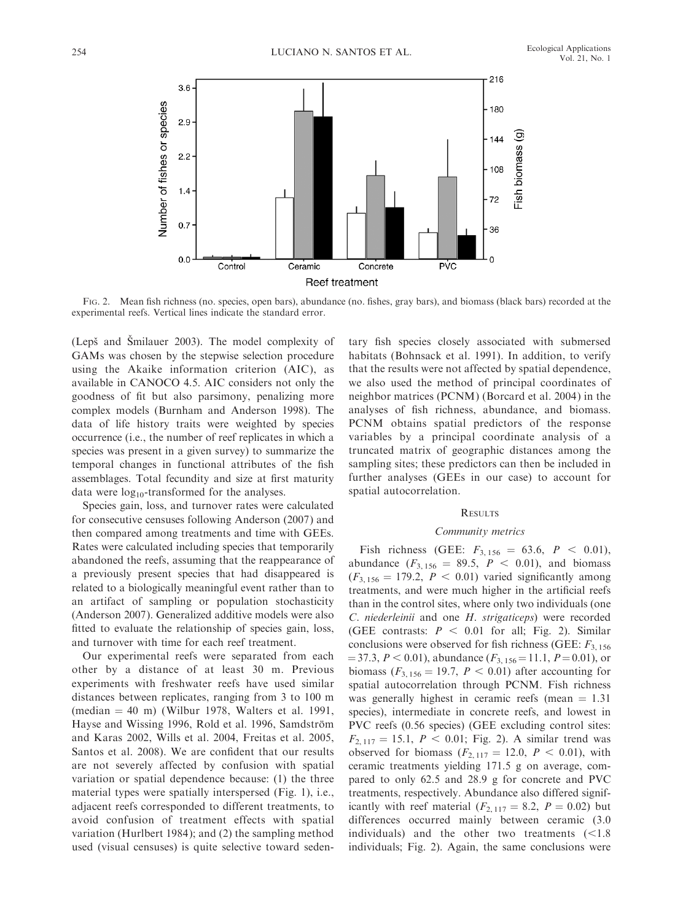

FIG. 2. Mean fish richness (no. species, open bars), abundance (no. fishes, gray bars), and biomass (black bars) recorded at the experimental reefs. Vertical lines indicate the standard error.

(Lepš and Šmilauer 2003). The model complexity of GAMs was chosen by the stepwise selection procedure using the Akaike information criterion (AIC), as available in CANOCO 4.5. AIC considers not only the goodness of fit but also parsimony, penalizing more complex models (Burnham and Anderson 1998). The data of life history traits were weighted by species occurrence (i.e., the number of reef replicates in which a species was present in a given survey) to summarize the temporal changes in functional attributes of the fish assemblages. Total fecundity and size at first maturity data were  $log_{10}$ -transformed for the analyses.

Species gain, loss, and turnover rates were calculated for consecutive censuses following Anderson (2007) and then compared among treatments and time with GEEs. Rates were calculated including species that temporarily abandoned the reefs, assuming that the reappearance of a previously present species that had disappeared is related to a biologically meaningful event rather than to an artifact of sampling or population stochasticity (Anderson 2007). Generalized additive models were also fitted to evaluate the relationship of species gain, loss, and turnover with time for each reef treatment.

Our experimental reefs were separated from each other by a distance of at least 30 m. Previous experiments with freshwater reefs have used similar distances between replicates, ranging from 3 to 100 m (median  $= 40$  m) (Wilbur 1978, Walters et al. 1991, Hayse and Wissing 1996, Rold et al. 1996, Samdström and Karas 2002, Wills et al. 2004, Freitas et al. 2005, Santos et al. 2008). We are confident that our results are not severely affected by confusion with spatial variation or spatial dependence because: (1) the three material types were spatially interspersed (Fig. 1), i.e., adjacent reefs corresponded to different treatments, to avoid confusion of treatment effects with spatial variation (Hurlbert 1984); and (2) the sampling method used (visual censuses) is quite selective toward sedentary fish species closely associated with submersed habitats (Bohnsack et al. 1991). In addition, to verify that the results were not affected by spatial dependence, we also used the method of principal coordinates of neighbor matrices (PCNM) (Borcard et al. 2004) in the analyses of fish richness, abundance, and biomass. PCNM obtains spatial predictors of the response variables by a principal coordinate analysis of a truncated matrix of geographic distances among the sampling sites; these predictors can then be included in further analyses (GEEs in our case) to account for spatial autocorrelation.

## **RESULTS**

#### Community metrics

Fish richness (GEE:  $F_{3,156} = 63.6, P < 0.01$ ), abundance  $(F_{3, 156} = 89.5, P < 0.01)$ , and biomass  $(F_{3, 156} = 179.2, P < 0.01)$  varied significantly among treatments, and were much higher in the artificial reefs than in the control sites, where only two individuals (one C. niederleinii and one H. strigaticeps) were recorded (GEE contrasts:  $P < 0.01$  for all; Fig. 2). Similar conclusions were observed for fish richness (GEE:  $F_{3,156}$ )  $=$  37.3,  $P < 0.01$ ), abundance ( $F_{3, 156} = 11.1, P = 0.01$ ), or biomass ( $F_{3,156} = 19.7$ ,  $P < 0.01$ ) after accounting for spatial autocorrelation through PCNM. Fish richness was generally highest in ceramic reefs (mean  $= 1.31$ ) species), intermediate in concrete reefs, and lowest in PVC reefs (0.56 species) (GEE excluding control sites:  $F_{2,117} = 15.1, P < 0.01$ ; Fig. 2). A similar trend was observed for biomass  $(F_{2,117} = 12.0, P \le 0.01)$ , with ceramic treatments yielding 171.5 g on average, compared to only 62.5 and 28.9 g for concrete and PVC treatments, respectively. Abundance also differed significantly with reef material  $(F_{2,117} = 8.2, P = 0.02)$  but differences occurred mainly between ceramic (3.0 individuals) and the other two treatments  $\leq 1.8$ individuals; Fig. 2). Again, the same conclusions were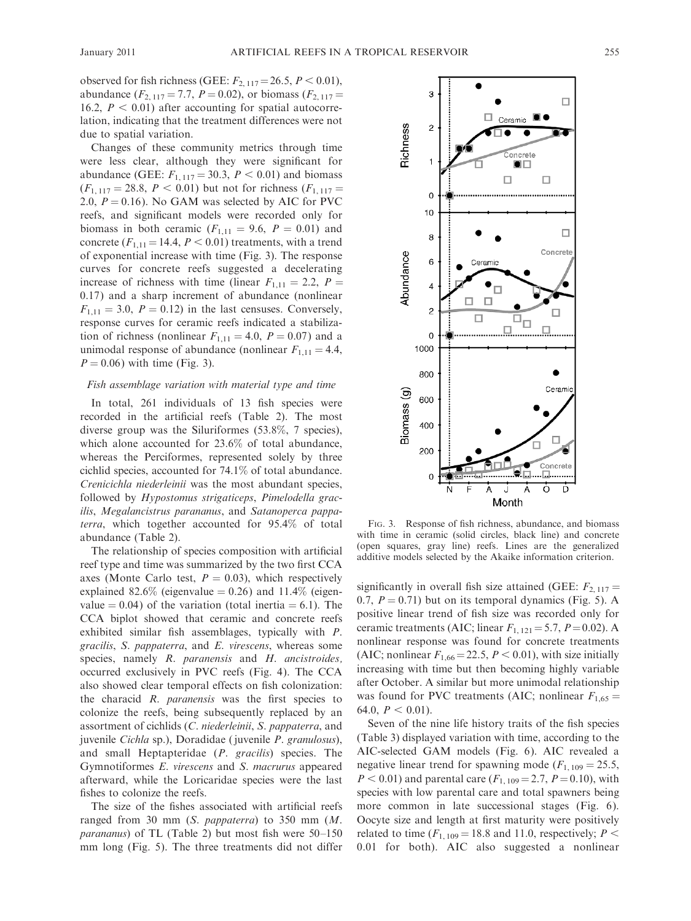observed for fish richness (GEE:  $F_{2, 117} = 26.5, P < 0.01$ ), abundance  $(F_{2,117} = 7.7, P = 0.02)$ , or biomass  $(F_{2,117} =$ 16.2,  $P < 0.01$ ) after accounting for spatial autocorrelation, indicating that the treatment differences were not due to spatial variation.

Changes of these community metrics through time were less clear, although they were significant for abundance (GEE:  $F_{1,117} = 30.3, P < 0.01$ ) and biomass  $(F_{1,117} = 28.8, P < 0.01)$  but not for richness  $(F_{1,117} =$ 2.0,  $P = 0.16$ ). No GAM was selected by AIC for PVC reefs, and significant models were recorded only for biomass in both ceramic  $(F_{1,11} = 9.6, P = 0.01)$  and concrete ( $F_{1,11}$  = 14.4,  $P < 0.01$ ) treatments, with a trend of exponential increase with time (Fig. 3). The response curves for concrete reefs suggested a decelerating increase of richness with time (linear  $F_{1,11} = 2.2$ ,  $P =$ 0.17) and a sharp increment of abundance (nonlinear  $F_{1,11} = 3.0$ ,  $P = 0.12$ ) in the last censuses. Conversely, response curves for ceramic reefs indicated a stabilization of richness (nonlinear  $F_{1,11} = 4.0$ ,  $P = 0.07$ ) and a unimodal response of abundance (nonlinear  $F_{1,11} = 4.4$ ,  $P = 0.06$ ) with time (Fig. 3).

## Fish assemblage variation with material type and time

In total, 261 individuals of 13 fish species were recorded in the artificial reefs (Table 2). The most diverse group was the Siluriformes (53.8%, 7 species), which alone accounted for 23.6% of total abundance, whereas the Perciformes, represented solely by three cichlid species, accounted for 74.1% of total abundance. Crenicichla niederleinii was the most abundant species, followed by Hypostomus strigaticeps, Pimelodella gracilis, Megalancistrus parananus, and Satanoperca pappaterra, which together accounted for 95.4% of total abundance (Table 2).

The relationship of species composition with artificial reef type and time was summarized by the two first CCA axes (Monte Carlo test,  $P = 0.03$ ), which respectively explained 82.6% (eigenvalue  $= 0.26$ ) and 11.4% (eigenvalue  $= 0.04$ ) of the variation (total inertia  $= 6.1$ ). The CCA biplot showed that ceramic and concrete reefs exhibited similar fish assemblages, typically with P. gracilis, S. pappaterra, and E. virescens, whereas some species, namely R. paranensis and H. ancistroides, occurred exclusively in PVC reefs (Fig. 4). The CCA also showed clear temporal effects on fish colonization: the characid R. paranensis was the first species to colonize the reefs, being subsequently replaced by an assortment of cichlids (C. niederleinii, S. pappaterra, and juvenile Cichla sp.), Doradidae ( juvenile P. granulosus), and small Heptapteridae (P. gracilis) species. The Gymnotiformes E. virescens and S. macrurus appeared afterward, while the Loricaridae species were the last fishes to colonize the reefs.

The size of the fishes associated with artificial reefs ranged from 30 mm (S. pappaterra) to 350 mm (M. parananus) of TL (Table 2) but most fish were 50–150 mm long (Fig. 5). The three treatments did not differ



FIG. 3. Response of fish richness, abundance, and biomass with time in ceramic (solid circles, black line) and concrete (open squares, gray line) reefs. Lines are the generalized additive models selected by the Akaike information criterion.

significantly in overall fish size attained (GEE:  $F_{2,117} =$ 0.7,  $P = 0.71$ ) but on its temporal dynamics (Fig. 5). A positive linear trend of fish size was recorded only for ceramic treatments (AIC; linear  $F_{1, 121} = 5.7, P = 0.02$ ). A nonlinear response was found for concrete treatments (AIC; nonlinear  $F_{1,66} = 22.5$ ,  $P < 0.01$ ), with size initially increasing with time but then becoming highly variable after October. A similar but more unimodal relationship was found for PVC treatments (AIC; nonlinear  $F_{1,65}$  = 64.0,  $P < 0.01$ ).

Seven of the nine life history traits of the fish species (Table 3) displayed variation with time, according to the AIC-selected GAM models (Fig. 6). AIC revealed a negative linear trend for spawning mode ( $F_{1,109} = 25.5$ ,  $P < 0.01$ ) and parental care ( $F<sub>1, 109</sub>$ </sub> = 2.7,  $P = 0.10$ ), with species with low parental care and total spawners being more common in late successional stages (Fig. 6). Oocyte size and length at first maturity were positively related to time  $(F_{1, 109} = 18.8$  and 11.0, respectively;  $P \le$ 0.01 for both). AIC also suggested a nonlinear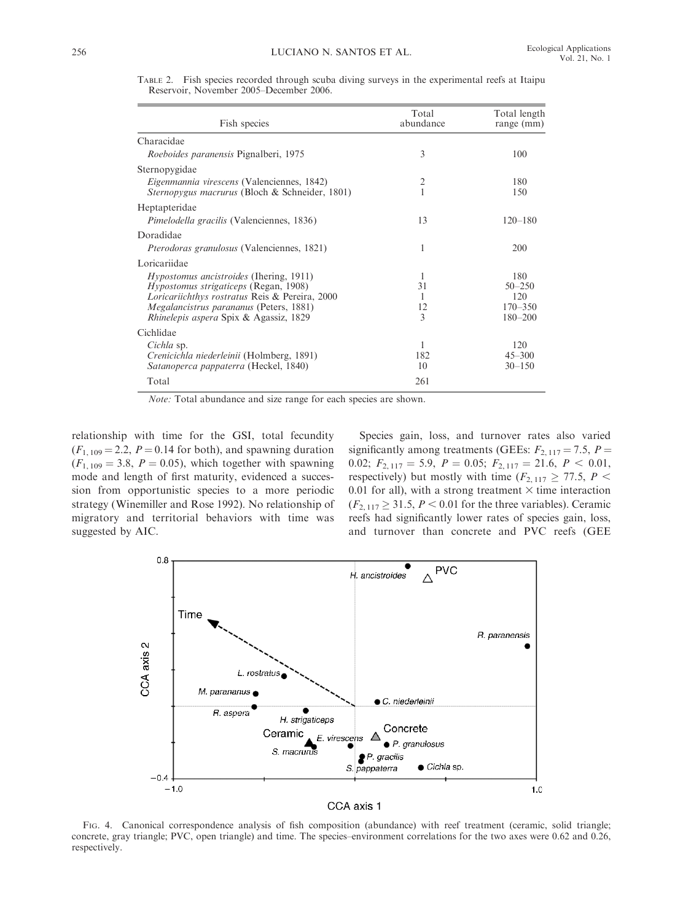| Fish species                                                                                                                                                                                                                          | Total<br>abundance           | Total length<br>range (mm)                             |  |
|---------------------------------------------------------------------------------------------------------------------------------------------------------------------------------------------------------------------------------------|------------------------------|--------------------------------------------------------|--|
| Characidae                                                                                                                                                                                                                            |                              |                                                        |  |
| Roeboides paranensis Pignalberi, 1975                                                                                                                                                                                                 | 3                            | 100                                                    |  |
| Sternopygidae                                                                                                                                                                                                                         |                              |                                                        |  |
| <i>Eigenmannia virescens</i> (Valenciennes, 1842)<br>Sternopygus macrurus (Bloch & Schneider, 1801)                                                                                                                                   | $\overline{\mathbf{c}}$<br>1 | 180<br>150                                             |  |
| Heptapteridae<br><i>Pimelodella gracilis</i> (Valenciennes, 1836)                                                                                                                                                                     | 13                           | $120 - 180$                                            |  |
| Doradidae<br>Pterodoras granulosus (Valenciennes, 1821)                                                                                                                                                                               | 1                            | 200                                                    |  |
| Loricariidae                                                                                                                                                                                                                          |                              |                                                        |  |
| <i>Hypostomus ancistroides</i> (Ihering, 1911)<br>Hypostomus strigaticeps (Regan, 1908)<br>Loricariichthys rostratus Reis & Pereira, 2000<br><i>Megalancistrus parananus</i> (Peters, 1881)<br>Rhinelepis aspera Spix & Agassiz, 1829 | 1<br>31<br>1<br>12<br>3      | 180<br>$50 - 250$<br>120<br>$170 - 350$<br>$180 - 200$ |  |
| Cichlidae                                                                                                                                                                                                                             |                              |                                                        |  |
| Cichla sp.<br>Crenicichla niederleinii (Holmberg, 1891)<br>Satanoperca pappaterra (Heckel, 1840)<br>Total                                                                                                                             | 1<br>182<br>10<br>261        | 120<br>$45 - 300$<br>$30 - 150$                        |  |

TABLE 2. Fish species recorded through scuba diving surveys in the experimental reefs at Itaipu Reservoir, November 2005–December 2006.

Note: Total abundance and size range for each species are shown.

relationship with time for the GSI, total fecundity  $(F<sub>1.109</sub> = 2.2, P = 0.14$  for both), and spawning duration  $(F_{1, 109} = 3.8, P = 0.05)$ , which together with spawning mode and length of first maturity, evidenced a succession from opportunistic species to a more periodic strategy (Winemiller and Rose 1992). No relationship of migratory and territorial behaviors with time was suggested by AIC.

Species gain, loss, and turnover rates also varied significantly among treatments (GEEs:  $F_{2,117} = 7.5$ ,  $P =$ 0.02;  $F_{2,117} = 5.9$ ,  $P = 0.05$ ;  $F_{2,117} = 21.6$ ,  $P < 0.01$ , respectively) but mostly with time ( $F_{2,117} \ge 77.5$ ,  $P \le$ 0.01 for all), with a strong treatment  $\times$  time interaction  $(F_{2,117} \geq 31.5, P \leq 0.01$  for the three variables). Ceramic reefs had significantly lower rates of species gain, loss, and turnover than concrete and PVC reefs (GEE



CCA axis 1

FIG. 4. Canonical correspondence analysis of fish composition (abundance) with reef treatment (ceramic, solid triangle; concrete, gray triangle; PVC, open triangle) and time. The species–environment correlations for the two axes were 0.62 and 0.26, respectively.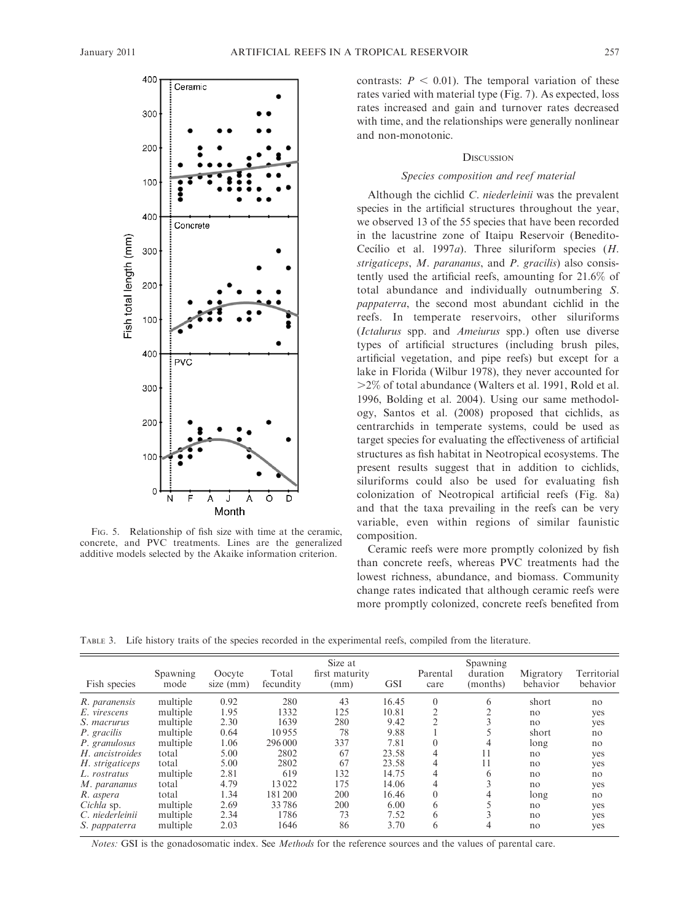

FIG. 5. Relationship of fish size with time at the ceramic, concrete, and PVC treatments. Lines are the generalized additive models selected by the Akaike information criterion.

contrasts:  $P < 0.01$ ). The temporal variation of these rates varied with material type (Fig. 7). As expected, loss rates increased and gain and turnover rates decreased with time, and the relationships were generally nonlinear and non-monotonic.

#### **DISCUSSION**

#### Species composition and reef material

Although the cichlid C. niederleinii was the prevalent species in the artificial structures throughout the year, we observed 13 of the 55 species that have been recorded in the lacustrine zone of Itaipu Reservoir (Benedito-Cecílio et al. 1997a). Three siluriform species  $(H.$ strigaticeps, M. parananus, and P. gracilis) also consistently used the artificial reefs, amounting for 21.6% of total abundance and individually outnumbering S. pappaterra, the second most abundant cichlid in the reefs. In temperate reservoirs, other siluriforms (Ictalurus spp. and Ameiurus spp.) often use diverse types of artificial structures (including brush piles, artificial vegetation, and pipe reefs) but except for a lake in Florida (Wilbur 1978), they never accounted for  $>2\%$  of total abundance (Walters et al. 1991, Rold et al. 1996, Bolding et al. 2004). Using our same methodology, Santos et al. (2008) proposed that cichlids, as centrarchids in temperate systems, could be used as target species for evaluating the effectiveness of artificial structures as fish habitat in Neotropical ecosystems. The present results suggest that in addition to cichlids, siluriforms could also be used for evaluating fish colonization of Neotropical artificial reefs (Fig. 8a) and that the taxa prevailing in the reefs can be very variable, even within regions of similar faunistic composition.

Ceramic reefs were more promptly colonized by fish than concrete reefs, whereas PVC treatments had the lowest richness, abundance, and biomass. Community change rates indicated that although ceramic reefs were more promptly colonized, concrete reefs benefited from

TABLE 3. Life history traits of the species recorded in the experimental reefs, compiled from the literature.

| Fish species    | Spawning<br>mode | Oocyte<br>size (mm) | Total<br>fecundity | Size at<br>first maturity<br>(mm) | <b>GSI</b> | Parental<br>care | Spawning<br>duration<br>(months) | Migratory<br>behavior | Territorial<br>behavior |
|-----------------|------------------|---------------------|--------------------|-----------------------------------|------------|------------------|----------------------------------|-----------------------|-------------------------|
| R. paranensis   | multiple         | 0.92                | 280                | 43                                | 16.45      | $\theta$         | 6                                | short                 | no                      |
| E. virescens    | multiple         | 1.95                | 1332               | 125                               | 10.81      | $\overline{2}$   | 2                                | no                    | yes                     |
| S. macrurus     | multiple         | 2.30                | 1639               | 280                               | 9.42       | $\overline{2}$   |                                  | no                    | yes                     |
| P. gracilis     | multiple         | 0.64                | 10955              | 78                                | 9.88       |                  |                                  | short                 | no                      |
| P. granulosus   | multiple         | 1.06                | 296 000            | 337                               | 7.81       | $\theta$         | 4                                | long                  | no                      |
| H. ancistroides | total            | 5.00                | 2802               | 67                                | 23.58      | 4                | 11                               | no                    | yes                     |
| H. strigaticeps | total            | 5.00                | 2802               | 67                                | 23.58      | 4                | 11                               | no                    | yes                     |
| L. rostratus    | multiple         | 2.81                | 619                | 132                               | 14.75      | 4                | 6                                | no                    | no                      |
| M. parananus    | total            | 4.79                | 13022              | 175                               | 14.06      | 4                |                                  | no                    | yes                     |
| R. aspera       | total            | 1.34                | 181200             | 200                               | 16.46      | $\theta$         | 4                                | long                  | no                      |
| Cichla sp.      | multiple         | 2.69                | 33786              | 200                               | 6.00       | 6                |                                  | no                    | yes                     |
| C. niederleinii | multiple         | 2.34                | 1786               | 73                                | 7.52       | 6                | 3                                | no                    | yes                     |
| S. pappaterra   | multiple         | 2.03                | 1646               | 86                                | 3.70       | 6                | 4                                | no                    | yes                     |

Notes: GSI is the gonadosomatic index. See Methods for the reference sources and the values of parental care.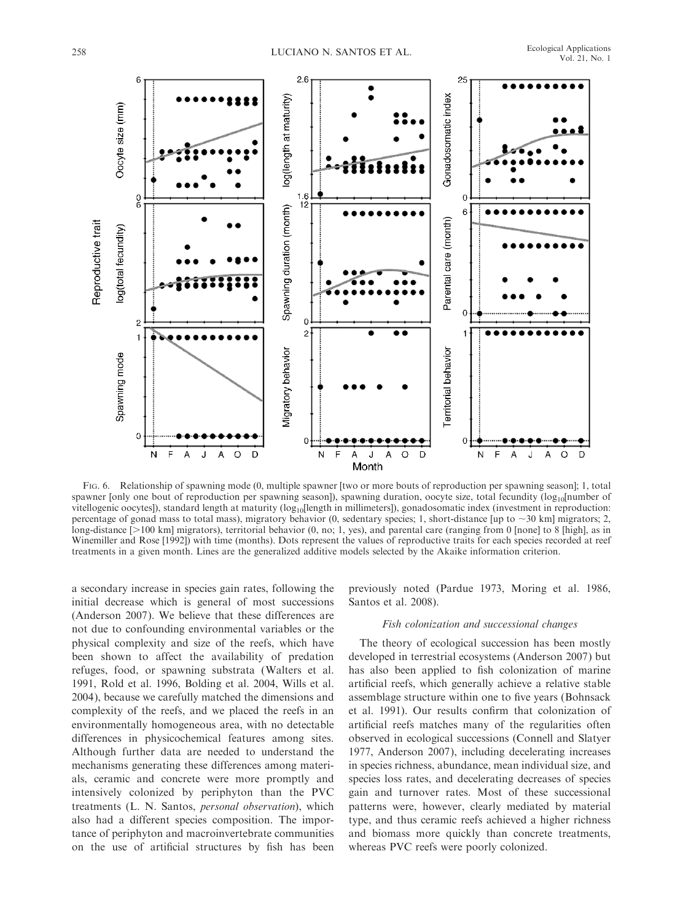

FIG. 6. Relationship of spawning mode (0, multiple spawner [two or more bouts of reproduction per spawning season]; 1, total spawner [only one bout of reproduction per spawning season]), spawning duration, oocyte size, total fecundity ( $log_{10}$ [number of vitellogenic oocytes]), standard length at maturity (log<sub>10</sub>[length in millimeters]), gonadosomatic index (investment in reproduction: percentage of gonad mass to total mass), migratory behavior (0, sedentary species; 1, short-distance [up to  $\sim$ 30 km] migrators; 2, long-distance [>100 km] migrators), territorial behavior (0, no; 1, yes), and parental care (ranging from 0 [none] to 8 [high], as in Winemiller and Rose [1992]) with time (months). Dots represent the values of reproductive traits for each species recorded at reef treatments in a given month. Lines are the generalized additive models selected by the Akaike information criterion.

a secondary increase in species gain rates, following the initial decrease which is general of most successions (Anderson 2007). We believe that these differences are not due to confounding environmental variables or the physical complexity and size of the reefs, which have been shown to affect the availability of predation refuges, food, or spawning substrata (Walters et al. 1991, Rold et al. 1996, Bolding et al. 2004, Wills et al. 2004), because we carefully matched the dimensions and complexity of the reefs, and we placed the reefs in an environmentally homogeneous area, with no detectable differences in physicochemical features among sites. Although further data are needed to understand the mechanisms generating these differences among materials, ceramic and concrete were more promptly and intensively colonized by periphyton than the PVC treatments (L. N. Santos, personal observation), which also had a different species composition. The importance of periphyton and macroinvertebrate communities on the use of artificial structures by fish has been previously noted (Pardue 1973, Moring et al. 1986, Santos et al. 2008).

# Fish colonization and successional changes

The theory of ecological succession has been mostly developed in terrestrial ecosystems (Anderson 2007) but has also been applied to fish colonization of marine artificial reefs, which generally achieve a relative stable assemblage structure within one to five years (Bohnsack et al. 1991). Our results confirm that colonization of artificial reefs matches many of the regularities often observed in ecological successions (Connell and Slatyer 1977, Anderson 2007), including decelerating increases in species richness, abundance, mean individual size, and species loss rates, and decelerating decreases of species gain and turnover rates. Most of these successional patterns were, however, clearly mediated by material type, and thus ceramic reefs achieved a higher richness and biomass more quickly than concrete treatments, whereas PVC reefs were poorly colonized.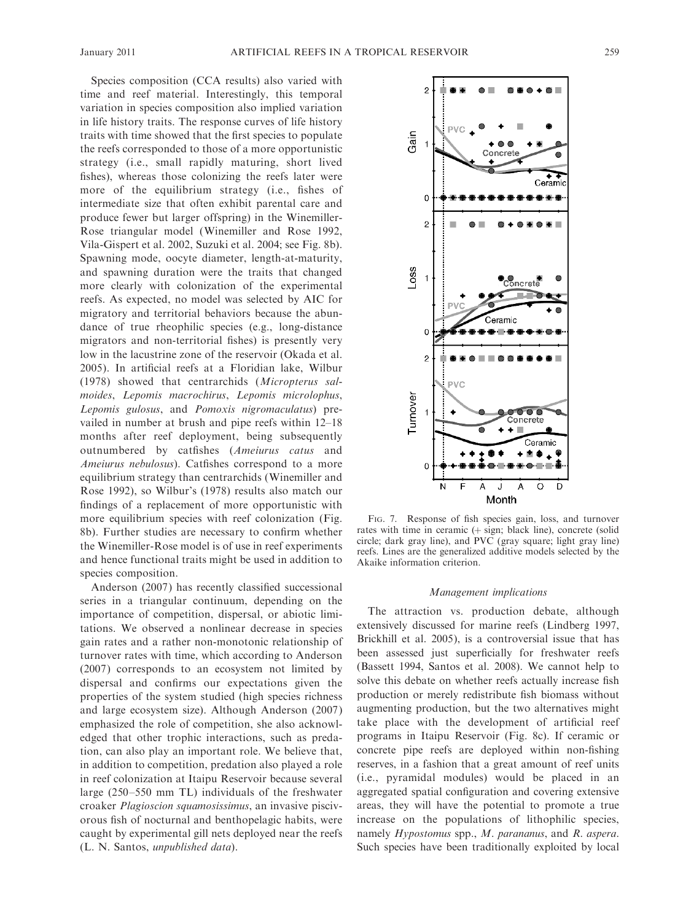Species composition (CCA results) also varied with time and reef material. Interestingly, this temporal variation in species composition also implied variation in life history traits. The response curves of life history traits with time showed that the first species to populate the reefs corresponded to those of a more opportunistic strategy (i.e., small rapidly maturing, short lived fishes), whereas those colonizing the reefs later were more of the equilibrium strategy (i.e., fishes of intermediate size that often exhibit parental care and produce fewer but larger offspring) in the Winemiller-Rose triangular model (Winemiller and Rose 1992, Vila-Gispert et al. 2002, Suzuki et al. 2004; see Fig. 8b). Spawning mode, oocyte diameter, length-at-maturity, and spawning duration were the traits that changed more clearly with colonization of the experimental reefs. As expected, no model was selected by AIC for migratory and territorial behaviors because the abundance of true rheophilic species (e.g., long-distance migrators and non-territorial fishes) is presently very low in the lacustrine zone of the reservoir (Okada et al. 2005). In artificial reefs at a Floridian lake, Wilbur (1978) showed that centrarchids (Micropterus salmoides, Lepomis macrochirus, Lepomis microlophus, Lepomis gulosus, and Pomoxis nigromaculatus) prevailed in number at brush and pipe reefs within 12–18 months after reef deployment, being subsequently outnumbered by catfishes (Ameiurus catus and Ameiurus nebulosus). Catfishes correspond to a more equilibrium strategy than centrarchids (Winemiller and Rose 1992), so Wilbur's (1978) results also match our findings of a replacement of more opportunistic with more equilibrium species with reef colonization (Fig. 8b). Further studies are necessary to confirm whether the Winemiller-Rose model is of use in reef experiments and hence functional traits might be used in addition to species composition.

Anderson (2007) has recently classified successional series in a triangular continuum, depending on the importance of competition, dispersal, or abiotic limitations. We observed a nonlinear decrease in species gain rates and a rather non-monotonic relationship of turnover rates with time, which according to Anderson (2007) corresponds to an ecosystem not limited by dispersal and confirms our expectations given the properties of the system studied (high species richness and large ecosystem size). Although Anderson (2007) emphasized the role of competition, she also acknowledged that other trophic interactions, such as predation, can also play an important role. We believe that, in addition to competition, predation also played a role in reef colonization at Itaipu Reservoir because several large (250–550 mm TL) individuals of the freshwater croaker Plagioscion squamosissimus, an invasive piscivorous fish of nocturnal and benthopelagic habits, were caught by experimental gill nets deployed near the reefs (L. N. Santos, unpublished data).



FIG. 7. Response of fish species gain, loss, and turnover rates with time in ceramic  $(+)$  sign; black line), concrete (solid circle; dark gray line), and PVC (gray square; light gray line) reefs. Lines are the generalized additive models selected by the Akaike information criterion.

#### Management implications

The attraction vs. production debate, although extensively discussed for marine reefs (Lindberg 1997, Brickhill et al. 2005), is a controversial issue that has been assessed just superficially for freshwater reefs (Bassett 1994, Santos et al. 2008). We cannot help to solve this debate on whether reefs actually increase fish production or merely redistribute fish biomass without augmenting production, but the two alternatives might take place with the development of artificial reef programs in Itaipu Reservoir (Fig. 8c). If ceramic or concrete pipe reefs are deployed within non-fishing reserves, in a fashion that a great amount of reef units (i.e., pyramidal modules) would be placed in an aggregated spatial configuration and covering extensive areas, they will have the potential to promote a true increase on the populations of lithophilic species, namely Hypostomus spp., M. parananus, and R. aspera. Such species have been traditionally exploited by local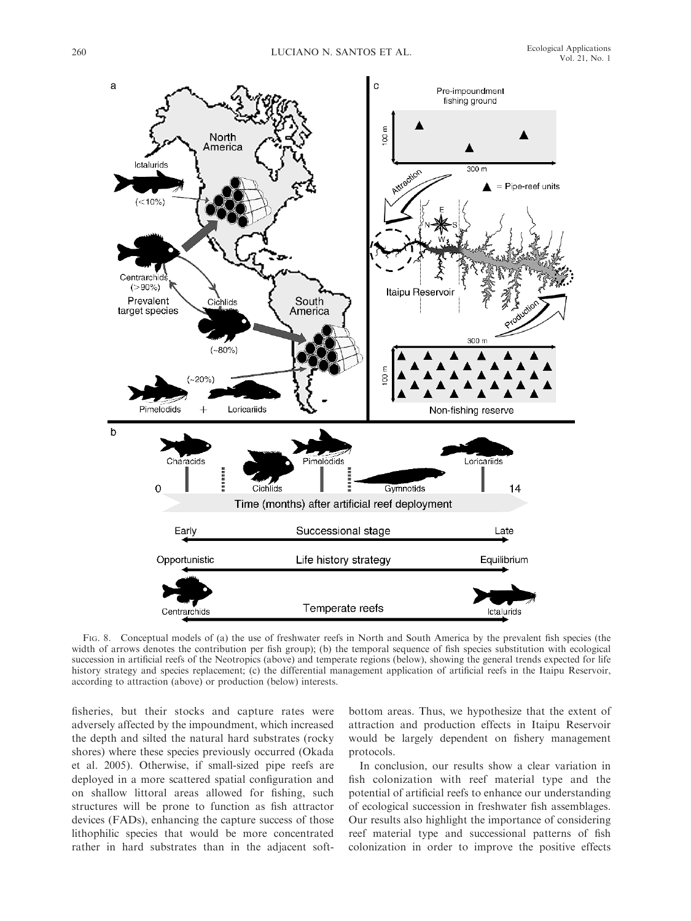

FIG. 8. Conceptual models of (a) the use of freshwater reefs in North and South America by the prevalent fish species (the width of arrows denotes the contribution per fish group); (b) the temporal sequence of fish species substitution with ecological succession in artificial reefs of the Neotropics (above) and temperate regions (below), showing the general trends expected for life history strategy and species replacement; (c) the differential management application of artificial reefs in the Itaipu Reservoir, according to attraction (above) or production (below) interests.

fisheries, but their stocks and capture rates were adversely affected by the impoundment, which increased the depth and silted the natural hard substrates (rocky shores) where these species previously occurred (Okada et al. 2005). Otherwise, if small-sized pipe reefs are deployed in a more scattered spatial configuration and on shallow littoral areas allowed for fishing, such structures will be prone to function as fish attractor devices (FADs), enhancing the capture success of those lithophilic species that would be more concentrated rather in hard substrates than in the adjacent softbottom areas. Thus, we hypothesize that the extent of attraction and production effects in Itaipu Reservoir would be largely dependent on fishery management protocols.

In conclusion, our results show a clear variation in fish colonization with reef material type and the potential of artificial reefs to enhance our understanding of ecological succession in freshwater fish assemblages. Our results also highlight the importance of considering reef material type and successional patterns of fish colonization in order to improve the positive effects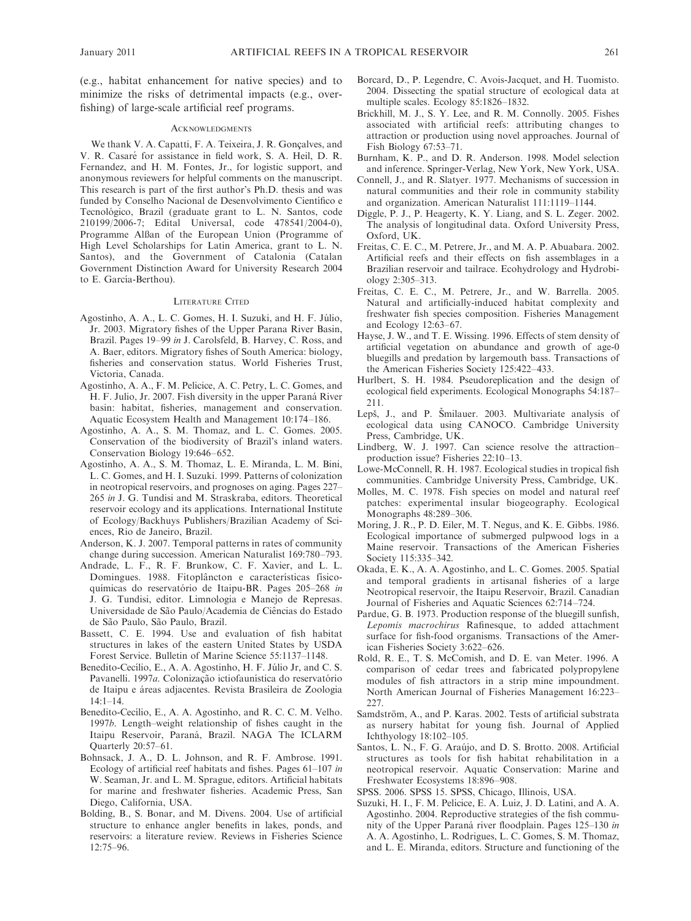(e.g., habitat enhancement for native species) and to minimize the risks of detrimental impacts (e.g., overfishing) of large-scale artificial reef programs.

#### **ACKNOWLEDGMENTS**

We thank V. A. Capatti, F. A. Teixeira, J. R. Goncalves, and V. R. Casaré for assistance in field work, S. A. Heil, D. R. Fernandez, and H. M. Fontes, Jr., for logistic support, and anonymous reviewers for helpful comments on the manuscript. This research is part of the first author's Ph.D. thesis and was funded by Conselho Nacional de Desenvolvimento Científico e Tecnológico, Brazil (graduate grant to L. N. Santos, code 210199/2006-7; Edital Universal, code 478541/2004-0), Programme Alßan of the European Union (Programme of High Level Scholarships for Latin America, grant to L. N. Santos), and the Government of Catalonia (Catalan Government Distinction Award for University Research 2004 to E. García-Berthou).

#### LITERATURE CITED

- Agostinho, A. A., L. C. Gomes, H. I. Suzuki, and H. F. Júlio, Jr. 2003. Migratory fishes of the Upper Parana River Basin, Brazil. Pages 19–99 in J. Carolsfeld, B. Harvey, C. Ross, and A. Baer, editors. Migratory fishes of South America: biology, fisheries and conservation status. World Fisheries Trust, Victoria, Canada.
- Agostinho, A. A., F. M. Pelicice, A. C. Petry, L. C. Gomes, and H. F. Julio, Jr. 2007. Fish diversity in the upper Paraná River basin: habitat, fisheries, management and conservation. Aquatic Ecosystem Health and Management 10:174–186.
- Agostinho, A. A., S. M. Thomaz, and L. C. Gomes. 2005. Conservation of the biodiversity of Brazil's inland waters. Conservation Biology 19:646–652.
- Agostinho, A. A., S. M. Thomaz, L. E. Miranda, L. M. Bini, L. C. Gomes, and H. I. Suzuki. 1999. Patterns of colonization in neotropical reservoirs, and prognoses on aging. Pages 227– 265 in J. G. Tundisi and M. Straskraba, editors. Theoretical reservoir ecology and its applications. International Institute of Ecology/Backhuys Publishers/Brazilian Academy of Sciences, Rio de Janeiro, Brazil.
- Anderson, K. J. 2007. Temporal patterns in rates of community change during succession. American Naturalist 169:780–793.
- Andrade, L. F., R. F. Brunkow, C. F. Xavier, and L. L. Domingues. 1988. Fitoplâncton e características físicoquímicas do reservatório de Itaipu-BR. Pages 205-268 in J. G. Tundisi, editor. Limnologia e Manejo de Represas. Universidade de São Paulo/Academia de Ciências do Estado de São Paulo, São Paulo, Brazil.
- Bassett, C. E. 1994. Use and evaluation of fish habitat structures in lakes of the eastern United States by USDA Forest Service. Bulletin of Marine Science 55:1137–1148.
- Benedito-Cecílio, E., A. A. Agostinho, H. F. Júlio Jr, and C. S. Pavanelli. 1997a. Colonização ictiofaunística do reservatório de Itaipu e áreas adjacentes. Revista Brasileira de Zoologia 14:1–14.
- Benedito-Cecílio, E., A. A. Agostinho, and R. C. C. M. Velho. 1997b. Length–weight relationship of fishes caught in the Itaipu Reservoir, Paraná, Brazil. NAGA The ICLARM Quarterly 20:57–61.
- Bohnsack, J. A., D. L. Johnson, and R. F. Ambrose. 1991. Ecology of artificial reef habitats and fishes. Pages 61–107 in W. Seaman, Jr. and L. M. Sprague, editors. Artificial habitats for marine and freshwater fisheries. Academic Press, San Diego, California, USA.
- Bolding, B., S. Bonar, and M. Divens. 2004. Use of artificial structure to enhance angler benefits in lakes, ponds, and reservoirs: a literature review. Reviews in Fisheries Science 12:75–96.
- Borcard, D., P. Legendre, C. Avois-Jacquet, and H. Tuomisto. 2004. Dissecting the spatial structure of ecological data at multiple scales. Ecology 85:1826–1832.
- Brickhill, M. J., S. Y. Lee, and R. M. Connolly. 2005. Fishes associated with artificial reefs: attributing changes to attraction or production using novel approaches. Journal of Fish Biology 67:53–71.
- Burnham, K. P., and D. R. Anderson. 1998. Model selection and inference. Springer-Verlag, New York, New York, USA.
- Connell, J., and R. Slatyer. 1977. Mechanisms of succession in natural communities and their role in community stability and organization. American Naturalist 111:1119–1144.
- Diggle, P. J., P. Heagerty, K. Y. Liang, and S. L. Zeger. 2002. The analysis of longitudinal data. Oxford University Press, Oxford, UK.
- Freitas, C. E. C., M. Petrere, Jr., and M. A. P. Abuabara. 2002. Artificial reefs and their effects on fish assemblages in a Brazilian reservoir and tailrace. Ecohydrology and Hydrobiology 2:305–313.
- Freitas, C. E. C., M. Petrere, Jr., and W. Barrella. 2005. Natural and artificially-induced habitat complexity and freshwater fish species composition. Fisheries Management and Ecology 12:63–67.
- Hayse, J. W., and T. E. Wissing. 1996. Effects of stem density of artificial vegetation on abundance and growth of age-0 bluegills and predation by largemouth bass. Transactions of the American Fisheries Society 125:422–433.
- Hurlbert, S. H. 1984. Pseudoreplication and the design of ecological field experiments. Ecological Monographs 54:187– 211.
- Lepš, J., and P. Šmilauer. 2003. Multivariate analysis of ecological data using CANOCO. Cambridge University Press, Cambridge, UK.
- Lindberg, W. J. 1997. Can science resolve the attraction– production issue? Fisheries 22:10–13.
- Lowe-McConnell, R. H. 1987. Ecological studies in tropical fish communities. Cambridge University Press, Cambridge, UK.
- Molles, M. C. 1978. Fish species on model and natural reef patches: experimental insular biogeography. Ecological Monographs 48:289–306.
- Moring, J. R., P. D. Eiler, M. T. Negus, and K. E. Gibbs. 1986. Ecological importance of submerged pulpwood logs in a Maine reservoir. Transactions of the American Fisheries Society 115:335–342.
- Okada, E. K., A. A. Agostinho, and L. C. Gomes. 2005. Spatial and temporal gradients in artisanal fisheries of a large Neotropical reservoir, the Itaipu Reservoir, Brazil. Canadian Journal of Fisheries and Aquatic Sciences 62:714–724.
- Pardue, G. B. 1973. Production response of the bluegill sunfish, Lepomis macrochirus Rafinesque, to added attachment surface for fish-food organisms. Transactions of the American Fisheries Society 3:622–626.
- Rold, R. E., T. S. McComish, and D. E. van Meter. 1996. A comparison of cedar trees and fabricated polypropylene modules of fish attractors in a strip mine impoundment. North American Journal of Fisheries Management 16:223– 227.
- Samdström, A., and P. Karas. 2002. Tests of artificial substrata as nursery habitat for young fish. Journal of Applied Ichthyology 18:102–105.
- Santos, L. N., F. G. Araújo, and D. S. Brotto. 2008. Artificial structures as tools for fish habitat rehabilitation in a neotropical reservoir. Aquatic Conservation: Marine and Freshwater Ecosystems 18:896–908.
- SPSS. 2006. SPSS 15. SPSS, Chicago, Illinois, USA.
- Suzuki, H. I., F. M. Pelicice, E. A. Luiz, J. D. Latini, and A. A. Agostinho. 2004. Reproductive strategies of the fish community of the Upper Paraná river floodplain. Pages 125–130 in A. A. Agostinho, L. Rodrigues, L. C. Gomes, S. M. Thomaz, and L. E. Miranda, editors. Structure and functioning of the